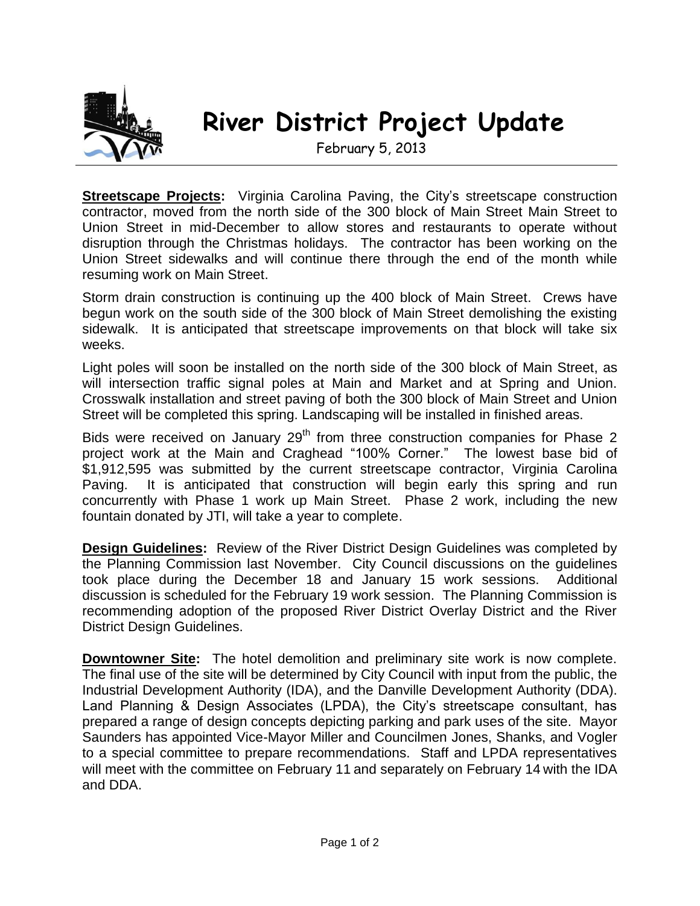

## **River District Project Update**

February 5, 2013

**Streetscape Projects:** Virginia Carolina Paving, the City's streetscape construction contractor, moved from the north side of the 300 block of Main Street Main Street to Union Street in mid-December to allow stores and restaurants to operate without disruption through the Christmas holidays. The contractor has been working on the Union Street sidewalks and will continue there through the end of the month while resuming work on Main Street.

Storm drain construction is continuing up the 400 block of Main Street. Crews have begun work on the south side of the 300 block of Main Street demolishing the existing sidewalk. It is anticipated that streetscape improvements on that block will take six weeks.

Light poles will soon be installed on the north side of the 300 block of Main Street, as will intersection traffic signal poles at Main and Market and at Spring and Union. Crosswalk installation and street paving of both the 300 block of Main Street and Union Street will be completed this spring. Landscaping will be installed in finished areas.

Bids were received on January 29<sup>th</sup> from three construction companies for Phase 2 project work at the Main and Craghead "100% Corner." The lowest base bid of \$1,912,595 was submitted by the current streetscape contractor, Virginia Carolina Paving. It is anticipated that construction will begin early this spring and run concurrently with Phase 1 work up Main Street. Phase 2 work, including the new fountain donated by JTI, will take a year to complete.

**Design Guidelines:** Review of the River District Design Guidelines was completed by the Planning Commission last November. City Council discussions on the guidelines took place during the December 18 and January 15 work sessions. Additional discussion is scheduled for the February 19 work session. The Planning Commission is recommending adoption of the proposed River District Overlay District and the River District Design Guidelines.

**Downtowner Site:** The hotel demolition and preliminary site work is now complete. The final use of the site will be determined by City Council with input from the public, the Industrial Development Authority (IDA), and the Danville Development Authority (DDA). Land Planning & Design Associates (LPDA), the City's streetscape consultant, has prepared a range of design concepts depicting parking and park uses of the site. Mayor Saunders has appointed Vice-Mayor Miller and Councilmen Jones, Shanks, and Vogler to a special committee to prepare recommendations. Staff and LPDA representatives will meet with the committee on February 11 and separately on February 14 with the IDA and DDA.